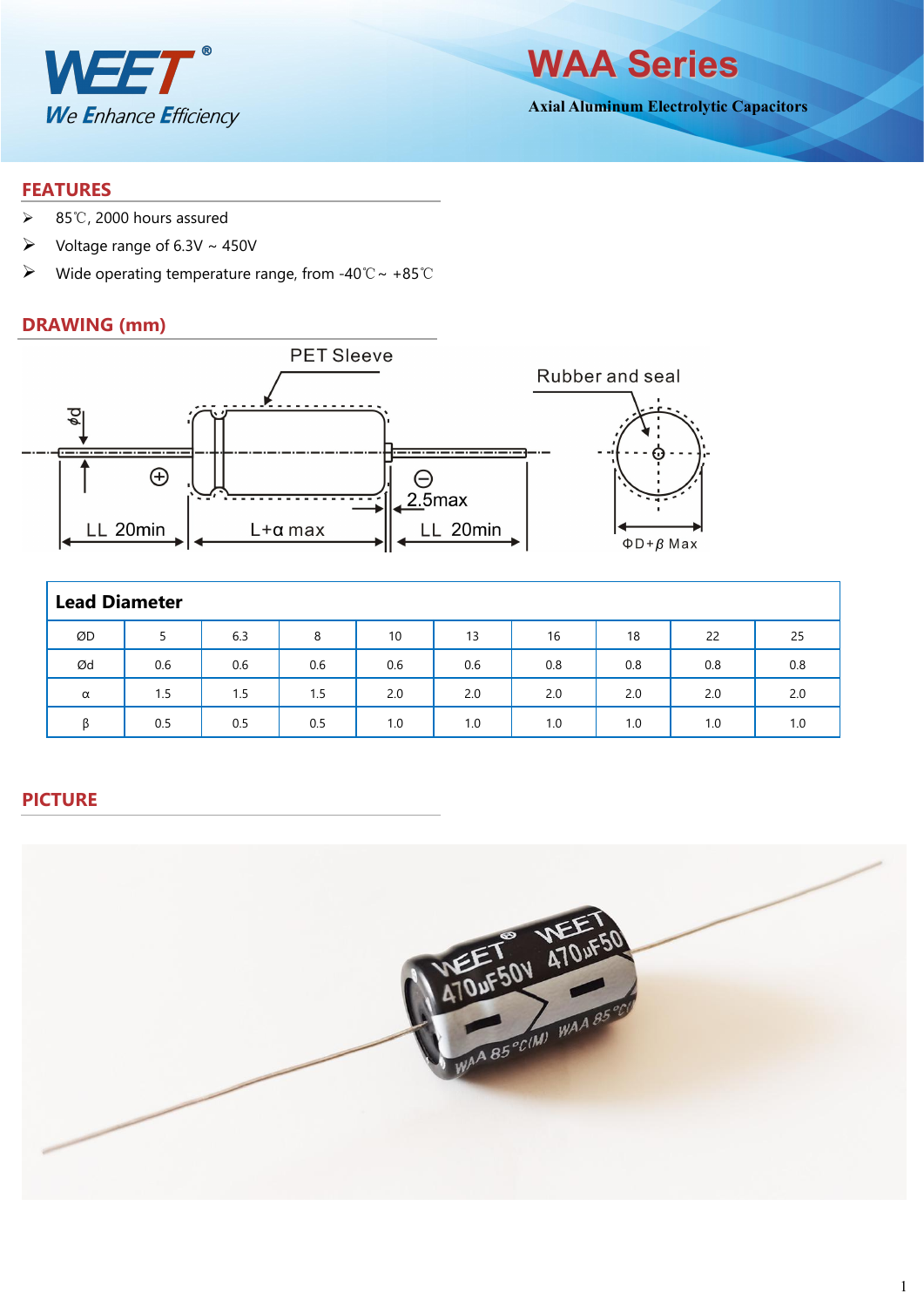

**WAA Series**

**Axial Aluminum Electrolytic Capacitors**

#### **FEATURES**

- 85℃, 2000 hours assured
- $\triangleright$  Voltage range of 6.3V ~ 450V
- Wide operating temperature range, from -40℃~ +85℃

## **DRAWING (mm)**



| <b>Lead Diameter</b> |     |     |     |     |     |     |     |     |     |
|----------------------|-----|-----|-----|-----|-----|-----|-----|-----|-----|
| ØD                   |     | 6.3 | 8   | 10  | 13  | 16  | 18  | 22  | 25  |
| Ød                   | 0.6 | 0.6 | 0.6 | 0.6 | 0.6 | 0.8 | 0.8 | 0.8 | 0.8 |
| $\alpha$             | 1.5 | 1.5 | 1.5 | 2.0 | 2.0 | 2.0 | 2.0 | 2.0 | 2.0 |
| ß                    | 0.5 | 0.5 | 0.5 | 1.0 | 1.0 | 1.0 | 1.0 | 1.0 | 1.0 |

## **PICTURE**

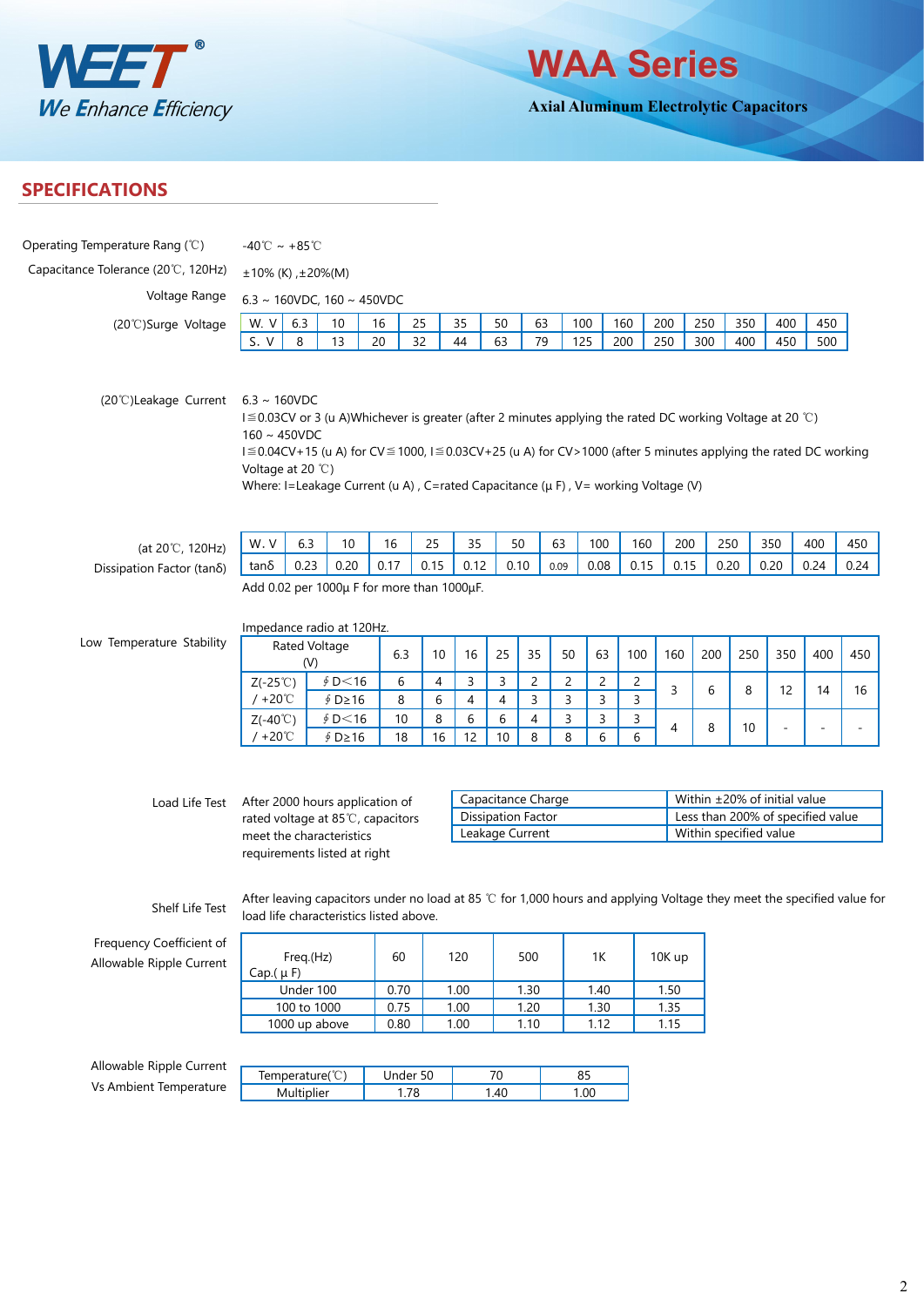

**WAA Series**

**Axial Aluminum Electrolytic Capacitors**

## **SPECIFICATIONS**

| Operating Temperature Rang (°C)                      | -40°C ~ +85°C                                                                                                                                                                                                                                                                                                                                                                                  |                                                                                                                                                                   |                  |          |                |          |                                                                    |                |                |                |                |            |                                                                                             |                 |     |     |        |
|------------------------------------------------------|------------------------------------------------------------------------------------------------------------------------------------------------------------------------------------------------------------------------------------------------------------------------------------------------------------------------------------------------------------------------------------------------|-------------------------------------------------------------------------------------------------------------------------------------------------------------------|------------------|----------|----------------|----------|--------------------------------------------------------------------|----------------|----------------|----------------|----------------|------------|---------------------------------------------------------------------------------------------|-----------------|-----|-----|--------|
| Capacitance Tolerance (20°C, 120Hz)                  | $±10\%$ (K), $±20\%$ (M)                                                                                                                                                                                                                                                                                                                                                                       |                                                                                                                                                                   |                  |          |                |          |                                                                    |                |                |                |                |            |                                                                                             |                 |     |     |        |
| Voltage Range                                        | 6.3 ~ 160VDC, 160 ~ 450VDC                                                                                                                                                                                                                                                                                                                                                                     |                                                                                                                                                                   |                  |          |                |          |                                                                    |                |                |                |                |            |                                                                                             |                 |     |     |        |
|                                                      | 350<br>400<br>450<br>63<br>100<br>160                                                                                                                                                                                                                                                                                                                                                          |                                                                                                                                                                   |                  |          |                |          |                                                                    |                |                |                |                |            |                                                                                             |                 |     |     |        |
| (20°C)Surge Voltage                                  | W.V<br>S.V                                                                                                                                                                                                                                                                                                                                                                                     | 6.3<br>8                                                                                                                                                          | 10<br>13         | 16<br>20 | 25<br>32       | 35<br>44 | 50<br>63                                                           | 79             |                | 125            | 200            | 200<br>250 | 250<br>300                                                                                  | 400             | 450 | 500 |        |
| (20°C)Leakage Current                                | $6.3 \sim 160$ VDC<br>I ≦ 0.03CV or 3 (u A)Whichever is greater (after 2 minutes applying the rated DC working Voltage at 20 ℃)<br>$160 \sim 450$ VDC<br>I ≡ 0.04CV+15 (u A) for CV ≡ 1000, I ≡ 0.03CV+25 (u A) for CV > 1000 (after 5 minutes applying the rated DC working<br>Voltage at 20 $°C$ )<br>Where: I=Leakage Current (u A), C=rated Capacitance ( $\mu$ F), V= working Voltage (V) |                                                                                                                                                                   |                  |          |                |          |                                                                    |                |                |                |                |            |                                                                                             |                 |     |     |        |
|                                                      |                                                                                                                                                                                                                                                                                                                                                                                                | 6.3                                                                                                                                                               |                  | 16       | 25             | 35       |                                                                    | 50             | 63             | 100            | 160            | 200        |                                                                                             |                 | 350 | 400 | 450    |
| (at 20℃, 120Hz)                                      | W.V                                                                                                                                                                                                                                                                                                                                                                                            |                                                                                                                                                                   | 10               |          |                |          |                                                                    |                |                |                |                |            |                                                                                             | 250             |     |     |        |
| Dissipation Factor (tano)                            |                                                                                                                                                                                                                                                                                                                                                                                                | 0.15<br>0.20<br>0.24<br>0.23<br>0.20<br>0.17<br>0.15<br>0.12<br>0.10<br>0.08<br>0.15<br>0.20<br>$tan\delta$<br>0.09<br>Add 0.02 per 1000µ F for more than 1000µF. |                  |          |                |          |                                                                    |                |                |                |                | 0.24       |                                                                                             |                 |     |     |        |
| Low Temperature Stability                            | Impedance radio at 120Hz.                                                                                                                                                                                                                                                                                                                                                                      | Rated Voltage                                                                                                                                                     |                  |          |                |          |                                                                    |                |                |                |                |            |                                                                                             |                 |     |     |        |
|                                                      | (V)                                                                                                                                                                                                                                                                                                                                                                                            |                                                                                                                                                                   | 6.3              | 10       | 16             | 25       | 35                                                                 | 50             | 63             | 100            | 160            | 200        | 250                                                                                         | 350             | 400 | 450 |        |
|                                                      | $Z(-25^{\circ}\mathrm{C})$                                                                                                                                                                                                                                                                                                                                                                     |                                                                                                                                                                   | \$D<16           | 6        | $\overline{4}$ | 3        | 3                                                                  | $\overline{c}$ | $\overline{c}$ | $\overline{c}$ | $\overline{c}$ | 3          | 6                                                                                           | 8               | 12  | 14  | 16     |
|                                                      | $/ + 20^{\circ}$ C                                                                                                                                                                                                                                                                                                                                                                             |                                                                                                                                                                   | ∮ D≥16           | 8        | 6              | 4        | 4                                                                  | 3              | 3              | 3              | 3              |            |                                                                                             |                 |     |     |        |
|                                                      | $Z(-40^{\circ}C)$<br>$/ + 20^{\circ}$ C                                                                                                                                                                                                                                                                                                                                                        |                                                                                                                                                                   | \$D<16<br>∮ D≥16 | 10<br>18 | 8<br>16        | 6<br>12  | 6<br>10                                                            | 4<br>8         | 3<br>8         | 3<br>6         | 3<br>6         | 4          | 8                                                                                           | 10 <sup>°</sup> |     |     | $\sim$ |
| Load Life Test                                       | After 2000 hours application of<br>rated voltage at 85℃, capacitors<br>meet the characteristics<br>requirements listed at right                                                                                                                                                                                                                                                                |                                                                                                                                                                   |                  |          |                |          | Capacitance Charge<br><b>Dissipation Factor</b><br>Leakage Current |                |                |                |                |            | Within ±20% of initial value<br>Less than 200% of specified value<br>Within specified value |                 |     |     |        |
| Shelf Life Test                                      | After leaving capacitors under no load at 85 °C for 1,000 hours and applying Voltage they meet the specified value for<br>load life characteristics listed above.                                                                                                                                                                                                                              |                                                                                                                                                                   |                  |          |                |          |                                                                    |                |                |                |                |            |                                                                                             |                 |     |     |        |
| Frequency Coefficient of<br>Allowable Ripple Current | Cap. $(\mu F)$                                                                                                                                                                                                                                                                                                                                                                                 | Freq.(Hz)                                                                                                                                                         |                  | 60       |                | 120      |                                                                    | 500            |                | 1K             |                | 10K up     |                                                                                             |                 |     |     |        |
|                                                      |                                                                                                                                                                                                                                                                                                                                                                                                | Under 100                                                                                                                                                         |                  | 0.70     |                | 1.00     |                                                                    | 1.30           |                | 1.40           |                | 1.50       |                                                                                             |                 |     |     |        |
|                                                      |                                                                                                                                                                                                                                                                                                                                                                                                | 100 to 1000                                                                                                                                                       |                  | 0.75     |                | 1.00     |                                                                    | 1.20           |                | 1.30           |                | 1.35       |                                                                                             |                 |     |     |        |
|                                                      |                                                                                                                                                                                                                                                                                                                                                                                                | 1000 up above                                                                                                                                                     |                  | 0.80     |                | 1.00     |                                                                    | 1.10           |                | 1.12           |                | 1.15       |                                                                                             |                 |     |     |        |
| Allowable Ripple Current                             |                                                                                                                                                                                                                                                                                                                                                                                                |                                                                                                                                                                   |                  |          |                |          |                                                                    |                |                |                |                |            |                                                                                             |                 |     |     |        |
| Vs Ambient Temperature                               |                                                                                                                                                                                                                                                                                                                                                                                                | Temperature(°C)                                                                                                                                                   |                  |          | Under 50       |          | $70\,$                                                             |                |                | 85             |                |            |                                                                                             |                 |     |     |        |
|                                                      |                                                                                                                                                                                                                                                                                                                                                                                                | Multiplier                                                                                                                                                        |                  |          | 1.78           |          | 1.40                                                               |                |                | 1.00           |                |            |                                                                                             |                 |     |     |        |